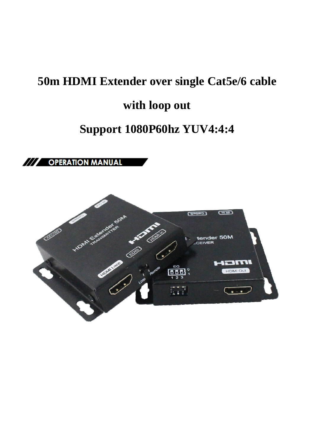# **50m HDMI Extender over single Cat5e/6 cable**

## **with loop out**

## **Support 1080P60hz YUV4:4:4**

/// OPERATION MANUAL

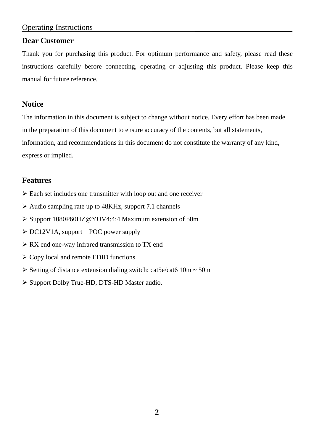#### Operating Instructions

#### **Dear Customer**

Thank you for purchasing this product. For optimum performance and safety, please read these instructions carefully before connecting, operating or adjusting this product. Please keep this manual for future reference.

#### **Notice**

The information in this document is subject to change without notice. Every effort has been made in the preparation of this document to ensure accuracy of the contents, but all statements, information, and recommendations in this document do not constitute the warranty of any kind, express or implied.

#### **Features**

- $\triangleright$  Each set includes one transmitter with loop out and one receiver
- $\triangleright$  Audio sampling rate up to 48KHz, support 7.1 channels
- Support 1080P60HZ@YUV4:4:4 Maximum extension of 50m
- $\triangleright$  DC12V1A, support POC power supply
- $\triangleright$  RX end one-way infrared transmission to TX end
- $\triangleright$  Copy local and remote EDID functions
- $\triangleright$  Setting of distance extension dialing switch: cat5e/cat6 10m ~ 50m
- $\triangleright$  Support Dolby True-HD, DTS-HD Master audio.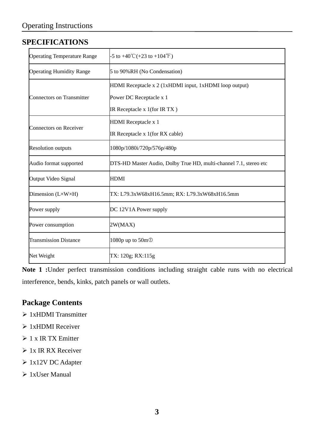#### **SPECIFICATIONS**

| <b>Operating Temperature Range</b> | $-5$ to $+40^{\circ}$ C( $+23$ to $+104^{\circ}$ F)               |
|------------------------------------|-------------------------------------------------------------------|
| <b>Operating Humidity Range</b>    | 5 to 90%RH (No Condensation)                                      |
| Connectors on Transmitter          | HDMI Receptacle x 2 (1xHDMI input, 1xHDMI loop output)            |
|                                    | Power DC Receptacle x 1                                           |
|                                    | IR Receptacle x $1$ (for IR TX)                                   |
| Connectors on Receiver             | HDMI Receptacle x 1                                               |
|                                    | IR Receptacle x 1(for RX cable)                                   |
| <b>Resolution outputs</b>          | 1080p/1080i/720p/576p/480p                                        |
| Audio format supported             | DTS-HD Master Audio, Dolby True HD, multi-channel 7.1, stereo etc |
| Output Video Signal                | <b>HDMI</b>                                                       |
| Dimension $(L \times W \times H)$  | TX: L79.3xW68xH16.5mm; RX: L79.3xW68xH16.5mm                      |
| Power supply                       | DC 12V1A Power supply                                             |
| Power consumption                  | 2W(MAX)                                                           |
| <b>Transmission Distance</b>       | 1080p up to 50m <sup>O</sup>                                      |
| Net Weight                         | TX: 120g; RX:115g                                                 |

**Note 1 :**Under perfect transmission conditions including straight cable runs with no electrical interference, bends, kinks, patch panels or wall outlets.

#### **Package Contents**

- $\geq 1x$ HDMI Transmitter
- $\geq 1x$ HDMI Receiver
- $> 1$  x IR TX Emitter
- $\triangleright$  1x IR RX Receiver
- 1x12V DC Adapter
- $\geq 1x$ User Manual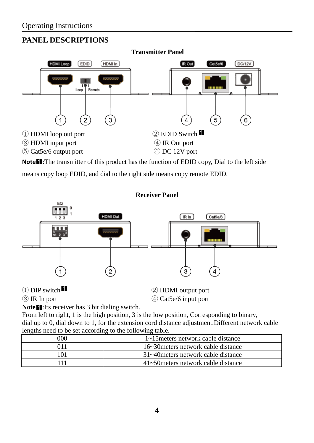## **PANEL DESCRIPTIONS**



**Note<sup>1</sup>**: The transmitter of this product has the function of EDID copy, Dial to the left side means copy loop EDID, and dial to the right side means copy remote EDID.



① DIP switch ② HDMI output port

③ IR In port ④ Cat5e/6 input port

Note<sup>1</sup> :Its receiver has 3 bit dialing switch.

From left to right, 1 is the high position, 3 is the low position, Corresponding to binary, dial up to 0, dial down to 1, for the extension cord distance adjustment.Different network cable lengths need to be set according to the following table.

| 000 | 1~15 meters network cable distance  |
|-----|-------------------------------------|
|     | 16~30 meters network cable distance |
|     | 31~40 meters network cable distance |
|     | 41~50 meters network cable distance |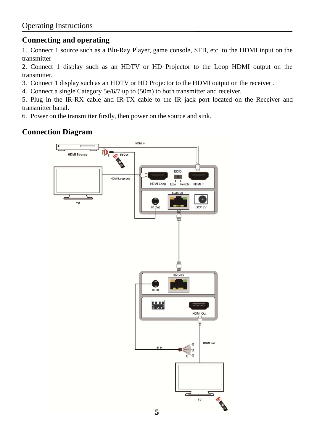#### **Connecting and operating**

1. Connect 1 source such as a Blu-Ray Player, game console, STB, etc. to the HDMI input on the transmitter

2. Connect 1 display such as an HDTV or HD Projector to the Loop HDMI output on the transmitter.

3. Connect 1 display such as an HDTV or HD Projector to the HDMI output on the receiver .

4. Connect a single Category 5e/6/7 up to (50m) to both transmitter and receiver.

5. Plug in the IR-RX cable and IR-TX cable to the IR jack port located on the Receiver and transmitter banal.

6. Power on the transmitter firstly, then power on the source and sink.

#### **Connection Diagram**

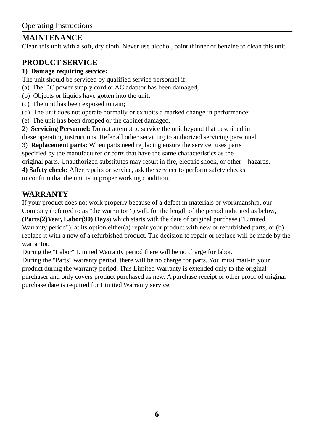## **MAINTENANCE**

Clean this unit with a soft, dry cloth. Never use alcohol, paint thinner of benzine to clean this unit.

## **PRODUCT SERVICE**

#### **1) Damage requiring service:**

The unit should be serviced by qualified service personnel if:

- (a) The DC power supply cord or AC adaptor has been damaged;
- (b) Objects or liquids have gotten into the unit;
- (c) The unit has been exposed to rain;
- (d) The unit does not operate normally or exhibits a marked change in performance;
- (e) The unit has been dropped or the cabinet damaged.
- 2) **Servicing Personnel:** Do not attempt to service the unit beyond that described in

these operating instructions. Refer all other servicing to authorized servicing personnel.

3) **Replacement parts:** When parts need replacing ensure the servicer uses parts

specified by the manufacturer or parts that have the same characteristics as the

original parts. Unauthorized substitutes may result in fire, electric shock, or other hazards.

**4) Safety check:** After repairs or service, ask the servicer to perform safety checks

to confirm that the unit is in proper working condition.

### **WARRANTY**

If your product does not work properly because of a defect in materials or workmanship, our Company (referred to as "the warrantor" ) will, for the length of the period indicated as below, **(Parts(2)Year, Labor(90) Days)** which starts with the date of original purchase ("Limited Warranty period"), at its option either(a) repair your product with new or refurbished parts, or (b) replace it with a new of a refurbished product. The decision to repair or replace will be made by the warrantor.

During the "Labor" Limited Warranty period there will be no charge for labor.

During the "Parts" warranty period, there will be no charge for parts. You must mail-in your product during the warranty period. This Limited Warranty is extended only to the original purchaser and only covers product purchased as new. A purchase receipt or other proof of original purchase date is required for Limited Warranty service.